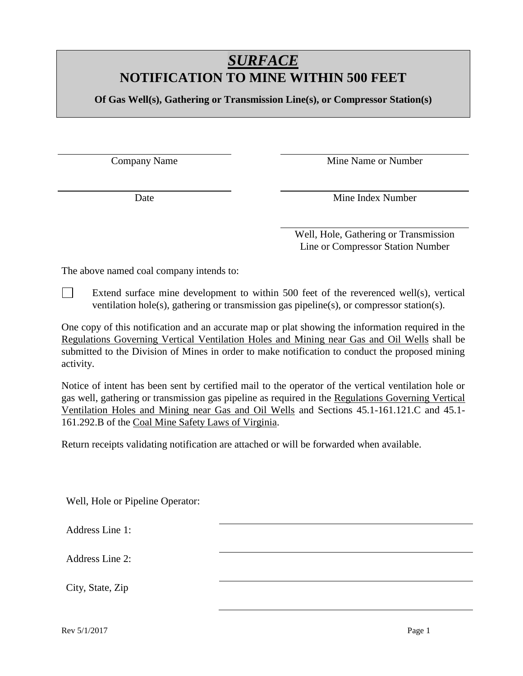## *SURFACE* **NOTIFICATION TO MINE WITHIN 500 FEET**

**Of Gas Well(s), Gathering or Transmission Line(s), or Compressor Station(s)**

Company Name Mine Name or Number

Date Mine Index Number

Well, Hole, Gathering or Transmission Line or Compressor Station Number

The above named coal company intends to:

 $\perp$ Extend surface mine development to within 500 feet of the reverenced well(s), vertical ventilation hole(s), gathering or transmission gas pipeline(s), or compressor station(s).

One copy of this notification and an accurate map or plat showing the information required in the Regulations Governing Vertical Ventilation Holes and Mining near Gas and Oil Wells shall be submitted to the Division of Mines in order to make notification to conduct the proposed mining activity.

Notice of intent has been sent by certified mail to the operator of the vertical ventilation hole or gas well, gathering or transmission gas pipeline as required in the Regulations Governing Vertical Ventilation Holes and Mining near Gas and Oil Wells and Sections 45.1-161.121.C and 45.1- 161.292.B of the Coal Mine Safety Laws of Virginia.

Return receipts validating notification are attached or will be forwarded when available.

Well, Hole or Pipeline Operator:

Address Line 1:

Address Line 2:

City, State, Zip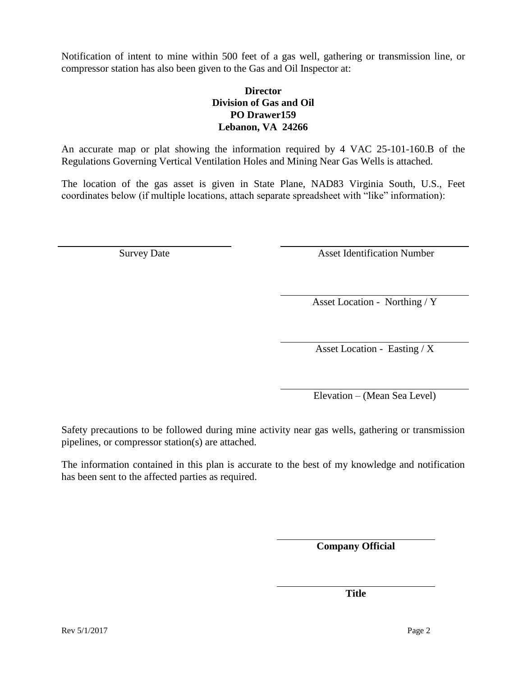Notification of intent to mine within 500 feet of a gas well, gathering or transmission line, or compressor station has also been given to the Gas and Oil Inspector at:

## **Director Division of Gas and Oil PO Drawer159 Lebanon, VA 24266**

An accurate map or plat showing the information required by 4 VAC 25-101-160.B of the Regulations Governing Vertical Ventilation Holes and Mining Near Gas Wells is attached.

The location of the gas asset is given in State Plane, NAD83 Virginia South, U.S., Feet coordinates below (if multiple locations, attach separate spreadsheet with "like" information):

Survey Date Asset Identification Number

Asset Location - Northing / Y

Asset Location - Easting /  $\overline{X}$ 

Elevation – (Mean Sea Level)

Safety precautions to be followed during mine activity near gas wells, gathering or transmission pipelines, or compressor station(s) are attached.

The information contained in this plan is accurate to the best of my knowledge and notification has been sent to the affected parties as required.

**Company Official**

**Title**